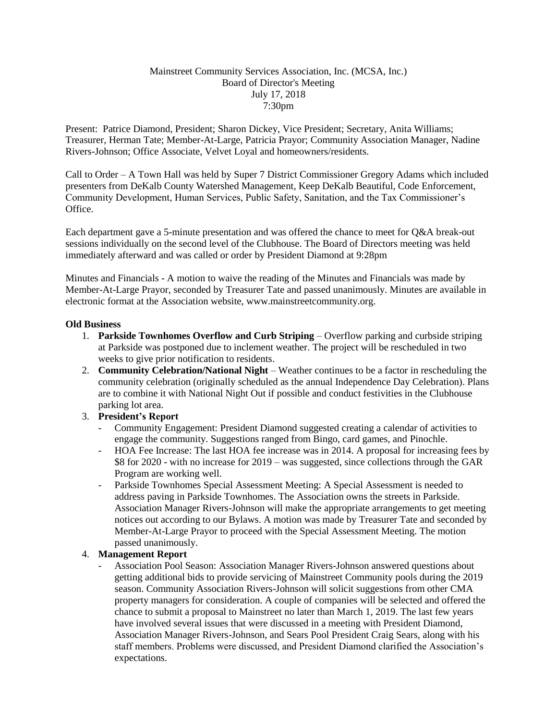## Mainstreet Community Services Association, Inc. (MCSA, Inc.) Board of Director's Meeting July 17, 2018 7:30pm

Present: Patrice Diamond, President; Sharon Dickey, Vice President; Secretary, Anita Williams; Treasurer, Herman Tate; Member-At-Large, Patricia Prayor; Community Association Manager, Nadine Rivers-Johnson; Office Associate, Velvet Loyal and homeowners/residents.

Call to Order – A Town Hall was held by Super 7 District Commissioner Gregory Adams which included presenters from DeKalb County Watershed Management, Keep DeKalb Beautiful, Code Enforcement, Community Development, Human Services, Public Safety, Sanitation, and the Tax Commissioner's Office.

Each department gave a 5-minute presentation and was offered the chance to meet for Q&A break-out sessions individually on the second level of the Clubhouse. The Board of Directors meeting was held immediately afterward and was called or order by President Diamond at 9:28pm

Minutes and Financials - A motion to waive the reading of the Minutes and Financials was made by Member-At-Large Prayor, seconded by Treasurer Tate and passed unanimously. Minutes are available in electronic format at the Association website, www.mainstreetcommunity.org.

## **Old Business**

- 1. **Parkside Townhomes Overflow and Curb Striping** Overflow parking and curbside striping at Parkside was postponed due to inclement weather. The project will be rescheduled in two weeks to give prior notification to residents.
- 2. **Community Celebration/National Night** Weather continues to be a factor in rescheduling the community celebration (originally scheduled as the annual Independence Day Celebration). Plans are to combine it with National Night Out if possible and conduct festivities in the Clubhouse parking lot area.

## 3. **President's Report**

- Community Engagement: President Diamond suggested creating a calendar of activities to engage the community. Suggestions ranged from Bingo, card games, and Pinochle.
- HOA Fee Increase: The last HOA fee increase was in 2014. A proposal for increasing fees by \$8 for 2020 - with no increase for 2019 – was suggested, since collections through the GAR Program are working well.
- Parkside Townhomes Special Assessment Meeting: A Special Assessment is needed to address paving in Parkside Townhomes. The Association owns the streets in Parkside. Association Manager Rivers-Johnson will make the appropriate arrangements to get meeting notices out according to our Bylaws. A motion was made by Treasurer Tate and seconded by Member-At-Large Prayor to proceed with the Special Assessment Meeting. The motion passed unanimously.

## 4. **Management Report**

- Association Pool Season: Association Manager Rivers-Johnson answered questions about getting additional bids to provide servicing of Mainstreet Community pools during the 2019 season. Community Association Rivers-Johnson will solicit suggestions from other CMA property managers for consideration. A couple of companies will be selected and offered the chance to submit a proposal to Mainstreet no later than March 1, 2019. The last few years have involved several issues that were discussed in a meeting with President Diamond, Association Manager Rivers-Johnson, and Sears Pool President Craig Sears, along with his staff members. Problems were discussed, and President Diamond clarified the Association's expectations.